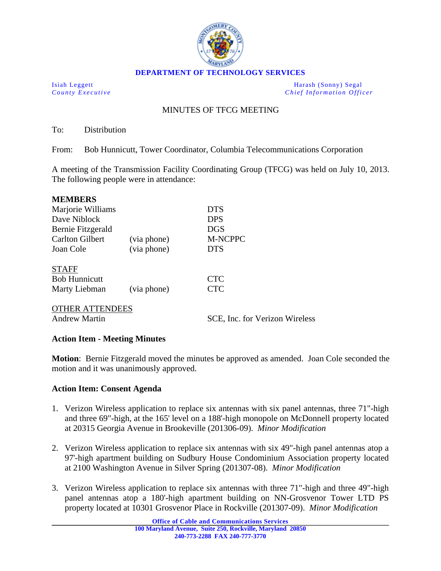

**DEPARTMENT OF TECHNOLOGY SERVICES** 

Isiah Leggett Harash (Sonny) Segal *County Executive County Executive Chief Information Officer* 

## MINUTES OF TFCG MEETING

To: Distribution

From: Bob Hunnicutt, Tower Coordinator, Columbia Telecommunications Corporation

A meeting of the Transmission Facility Coordinating Group (TFCG) was held on July 10, 2013. The following people were in attendance:

| <b>MEMBERS</b>         |             |                                |
|------------------------|-------------|--------------------------------|
| Marjorie Williams      |             | <b>DTS</b>                     |
| Dave Niblock           |             | <b>DPS</b>                     |
| Bernie Fitzgerald      |             | <b>DGS</b>                     |
| <b>Carlton Gilbert</b> | (via phone) | <b>M-NCPPC</b>                 |
| Joan Cole              | (via phone) | <b>DTS</b>                     |
| <b>STAFF</b>           |             |                                |
| <b>Bob Hunnicutt</b>   |             | <b>CTC</b>                     |
| Marty Liebman          | (via phone) | <b>CTC</b>                     |
| <b>OTHER ATTENDEES</b> |             |                                |
| <b>Andrew Martin</b>   |             | SCE, Inc. for Verizon Wireless |

## **Action Item - Meeting Minutes**

**Motion**: Bernie Fitzgerald moved the minutes be approved as amended. Joan Cole seconded the motion and it was unanimously approved.

## **Action Item: Consent Agenda**

- 1. Verizon Wireless application to replace six antennas with six panel antennas, three 71"-high and three 69"-high, at the 165' level on a 188'-high monopole on McDonnell property located at 20315 Georgia Avenue in Brookeville (201306-09). *Minor Modification*
- 2. Verizon Wireless application to replace six antennas with six 49"-high panel antennas atop a 97'-high apartment building on Sudbury House Condominium Association property located at 2100 Washington Avenue in Silver Spring (201307-08). *Minor Modification*
- 3. Verizon Wireless application to replace six antennas with three 71"-high and three 49"-high panel antennas atop a 180'-high apartment building on NN-Grosvenor Tower LTD PS property located at 10301 Grosvenor Place in Rockville (201307-09). *Minor Modification*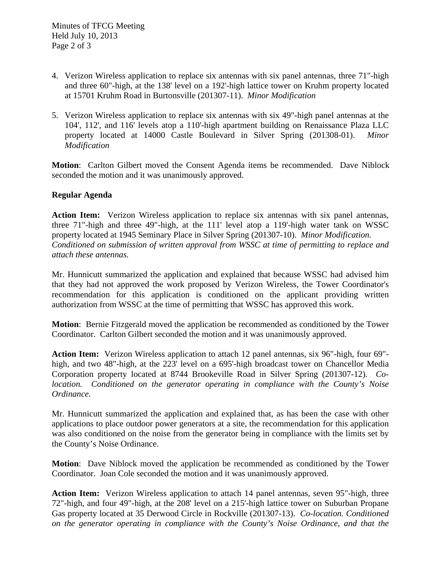- 4. Verizon Wireless application to replace six antennas with six panel antennas, three 71"-high and three 60"-high, at the 138' level on a 192'-high lattice tower on Kruhm property located at 15701 Kruhm Road in Burtonsville (201307-11). *Minor Modification*
- 5. Verizon Wireless application to replace six antennas with six 49"-high panel antennas at the 104', 112', and 116' levels atop a 110'-high apartment building on Renaissance Plaza LLC property located at 14000 Castle Boulevard in Silver Spring (201308-01). *Minor Modification*

**Motion**: Carlton Gilbert moved the Consent Agenda items be recommended. Dave Niblock seconded the motion and it was unanimously approved.

## **Regular Agenda**

**Action Item:** Verizon Wireless application to replace six antennas with six panel antennas, three 71"-high and three 49"-high, at the 111' level atop a 119'-high water tank on WSSC property located at 1945 Seminary Place in Silver Spring (201307-10). *Minor Modification. Conditioned on submission of written approval from WSSC at time of permitting to replace and attach these antennas.* 

Mr. Hunnicutt summarized the application and explained that because WSSC had advised him that they had not approved the work proposed by Verizon Wireless, the Tower Coordinator's recommendation for this application is conditioned on the applicant providing written authorization from WSSC at the time of permitting that WSSC has approved this work.

**Motion**: Bernie Fitzgerald moved the application be recommended as conditioned by the Tower Coordinator. Carlton Gilbert seconded the motion and it was unanimously approved.

**Action Item:** Verizon Wireless application to attach 12 panel antennas, six 96"-high, four 69" high, and two 48"-high, at the 223' level on a 695'-high broadcast tower on Chancellor Media Corporation property located at 8744 Brookeville Road in Silver Spring (201307-12). *Colocation. Conditioned on the generator operating in compliance with the County's Noise Ordinance.* 

Mr. Hunnicutt summarized the application and explained that, as has been the case with other applications to place outdoor power generators at a site, the recommendation for this application was also conditioned on the noise from the generator being in compliance with the limits set by the County's Noise Ordinance.

**Motion**: Dave Niblock moved the application be recommended as conditioned by the Tower Coordinator. Joan Cole seconded the motion and it was unanimously approved.

**Action Item:** Verizon Wireless application to attach 14 panel antennas, seven 95"-high, three 72"-high, and four 49"-high, at the 208' level on a 215'-high lattice tower on Suburban Propane Gas property located at 35 Derwood Circle in Rockville (201307-13). *Co-location. Conditioned on the generator operating in compliance with the County's Noise Ordinance, and that the*